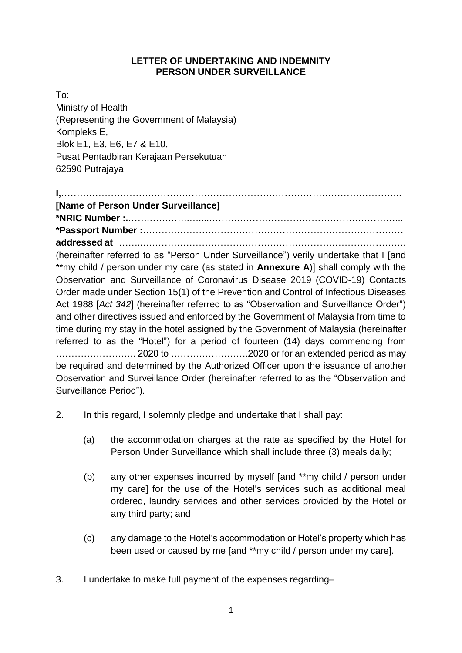## **LETTER OF UNDERTAKING AND INDEMNITY PERSON UNDER SURVEILLANCE**

To: Ministry of Health (Representing the Government of Malaysia) Kompleks E, Blok E1, E3, E6, E7 & E10, Pusat Pentadbiran Kerajaan Persekutuan 62590 Putrajaya

**I,**……………………………………………………………………………………………….. **[Name of Person Under Surveillance] \*NRIC Number :.**…….………….…....……………………………………………………... **\*Passport Number :**………………………………………………………………………… **addressed at** ……..…………………………………………………………………………. (hereinafter referred to as "Person Under Surveillance") verily undertake that I [and \*\*my child / person under my care (as stated in **Annexure A**)] shall comply with the Observation and Surveillance of Coronavirus Disease 2019 (COVID-19) Contacts Order made under Section 15(1) of the Prevention and Control of Infectious Diseases Act 1988 [*Act 342*] (hereinafter referred to as "Observation and Surveillance Order") and other directives issued and enforced by the Government of Malaysia from time to time during my stay in the hotel assigned by the Government of Malaysia (hereinafter referred to as the "Hotel") for a period of fourteen (14) days commencing from …………………….. 2020 to …………………….2020 or for an extended period as may be required and determined by the Authorized Officer upon the issuance of another Observation and Surveillance Order (hereinafter referred to as the "Observation and Surveillance Period").

- 2. In this regard, I solemnly pledge and undertake that I shall pay:
	- (a) the accommodation charges at the rate as specified by the Hotel for Person Under Surveillance which shall include three (3) meals daily;
	- (b) any other expenses incurred by myself [and \*\*my child / person under my care] for the use of the Hotel's services such as additional meal ordered, laundry services and other services provided by the Hotel or any third party; and
	- (c) any damage to the Hotel's accommodation or Hotel's property which has been used or caused by me [and \*\*my child / person under my care].
- 3. I undertake to make full payment of the expenses regarding–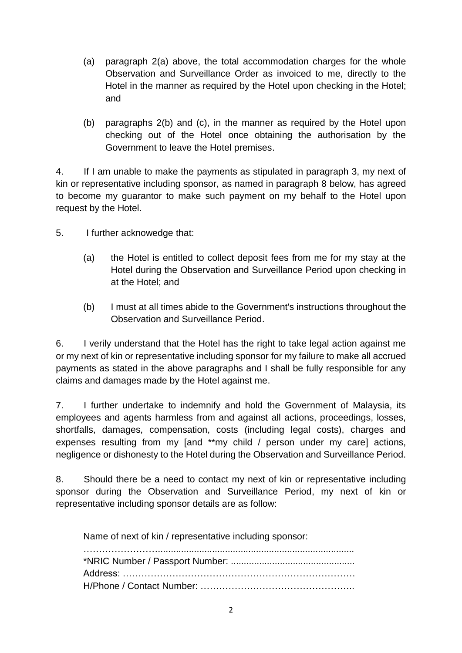- (a) paragraph 2(a) above, the total accommodation charges for the whole Observation and Surveillance Order as invoiced to me, directly to the Hotel in the manner as required by the Hotel upon checking in the Hotel; and
- (b) paragraphs 2(b) and (c), in the manner as required by the Hotel upon checking out of the Hotel once obtaining the authorisation by the Government to leave the Hotel premises.

4. If I am unable to make the payments as stipulated in paragraph 3, my next of kin or representative including sponsor, as named in paragraph 8 below, has agreed to become my guarantor to make such payment on my behalf to the Hotel upon request by the Hotel.

- 5. I further acknowedge that:
	- (a) the Hotel is entitled to collect deposit fees from me for my stay at the Hotel during the Observation and Surveillance Period upon checking in at the Hotel; and
	- (b) I must at all times abide to the Government's instructions throughout the Observation and Surveillance Period.

6. I verily understand that the Hotel has the right to take legal action against me or my next of kin or representative including sponsor for my failure to make all accrued payments as stated in the above paragraphs and I shall be fully responsible for any claims and damages made by the Hotel against me.

7. I further undertake to indemnify and hold the Government of Malaysia, its employees and agents harmless from and against all actions, proceedings, losses, shortfalls, damages, compensation, costs (including legal costs), charges and expenses resulting from my [and \*\*my child / person under my care] actions, negligence or dishonesty to the Hotel during the Observation and Surveillance Period.

8. Should there be a need to contact my next of kin or representative including sponsor during the Observation and Surveillance Period, my next of kin or representative including sponsor details are as follow:

Name of next of kin / representative including sponsor: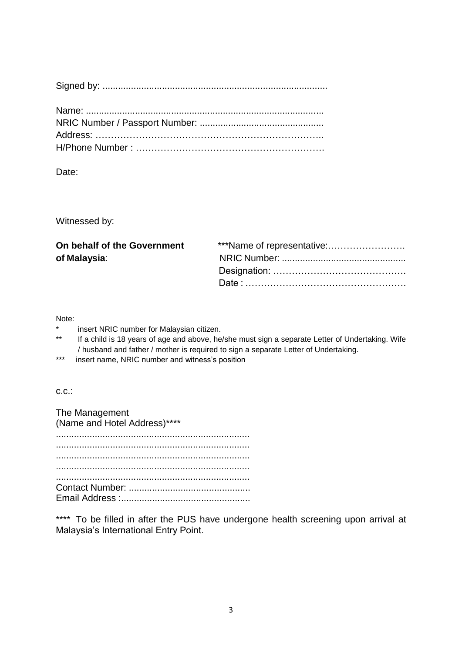## Date:

Witnessed by:

| ***Name of representative: |
|----------------------------|
|                            |
|                            |
|                            |
|                            |

Note:

- \* insert NRIC number for Malaysian citizen.<br>\*\* If a shild is 18 years of age and above, he
- If a child is 18 years of age and above, he/she must sign a separate Letter of Undertaking. Wife / husband and father / mother is required to sign a separate Letter of Undertaking.
- \*\*\* insert name, NRIC number and witness's position

c.c.:

The Management (Name and Hotel Address)\*\*\*\* ........................................................................... ........................................................................... ........................................................................... ........................................................................... ........................................................................... Contact Number: ............................................... Email Address :..................................................

\*\*\*\* To be filled in after the PUS have undergone health screening upon arrival at Malaysia's International Entry Point.